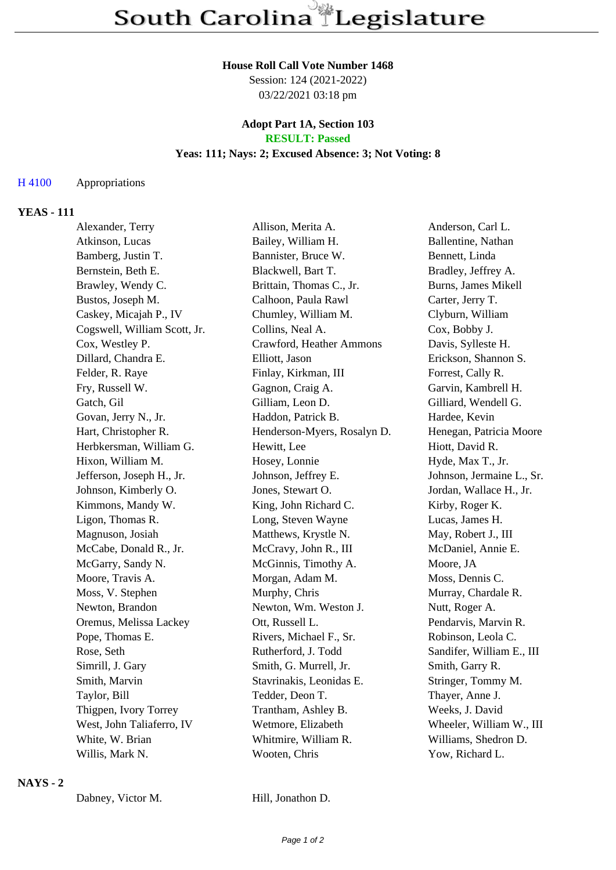#### **House Roll Call Vote Number 1468**

Session: 124 (2021-2022) 03/22/2021 03:18 pm

#### **Adopt Part 1A, Section 103 RESULT: Passed**

# **Yeas: 111; Nays: 2; Excused Absence: 3; Not Voting: 8**

## H 4100 Appropriations

## **YEAS - 111**

| Alexander, Terry             | Allison, Merita A.          | Anderson, Carl L.          |
|------------------------------|-----------------------------|----------------------------|
| Atkinson, Lucas              | Bailey, William H.          | Ballentine, Nathan         |
| Bamberg, Justin T.           | Bannister, Bruce W.         | Bennett, Linda             |
| Bernstein, Beth E.           | Blackwell, Bart T.          | Bradley, Jeffrey A.        |
| Brawley, Wendy C.            | Brittain, Thomas C., Jr.    | <b>Burns, James Mikell</b> |
| Bustos, Joseph M.            | Calhoon, Paula Rawl         | Carter, Jerry T.           |
| Caskey, Micajah P., IV       | Chumley, William M.         | Clyburn, William           |
| Cogswell, William Scott, Jr. | Collins, Neal A.            | Cox, Bobby J.              |
| Cox, Westley P.              | Crawford, Heather Ammons    | Davis, Sylleste H.         |
| Dillard, Chandra E.          | Elliott, Jason              | Erickson, Shannon S.       |
| Felder, R. Raye              | Finlay, Kirkman, III        | Forrest, Cally R.          |
| Fry, Russell W.              | Gagnon, Craig A.            | Garvin, Kambrell H.        |
| Gatch, Gil                   | Gilliam, Leon D.            | Gilliard, Wendell G.       |
| Govan, Jerry N., Jr.         | Haddon, Patrick B.          | Hardee, Kevin              |
| Hart, Christopher R.         | Henderson-Myers, Rosalyn D. | Henegan, Patricia Moore    |
| Herbkersman, William G.      | Hewitt, Lee                 | Hiott, David R.            |
| Hixon, William M.            | Hosey, Lonnie               | Hyde, Max T., Jr.          |
| Jefferson, Joseph H., Jr.    | Johnson, Jeffrey E.         | Johnson, Jermaine L., Sr.  |
| Johnson, Kimberly O.         | Jones, Stewart O.           | Jordan, Wallace H., Jr.    |
| Kimmons, Mandy W.            | King, John Richard C.       | Kirby, Roger K.            |
| Ligon, Thomas R.             | Long, Steven Wayne          | Lucas, James H.            |
| Magnuson, Josiah             | Matthews, Krystle N.        | May, Robert J., III        |
| McCabe, Donald R., Jr.       | McCravy, John R., III       | McDaniel, Annie E.         |
| McGarry, Sandy N.            | McGinnis, Timothy A.        | Moore, JA                  |
| Moore, Travis A.             | Morgan, Adam M.             | Moss, Dennis C.            |
| Moss, V. Stephen             | Murphy, Chris               | Murray, Chardale R.        |
| Newton, Brandon              | Newton, Wm. Weston J.       | Nutt, Roger A.             |
| Oremus, Melissa Lackey       | Ott, Russell L.             | Pendarvis, Marvin R.       |
| Pope, Thomas E.              | Rivers, Michael F., Sr.     | Robinson, Leola C.         |
| Rose, Seth                   | Rutherford, J. Todd         | Sandifer, William E., III  |
| Simrill, J. Gary             | Smith, G. Murrell, Jr.      | Smith, Garry R.            |
| Smith, Marvin                | Stavrinakis, Leonidas E.    | Stringer, Tommy M.         |
| Taylor, Bill                 | Tedder, Deon T.             | Thayer, Anne J.            |
| Thigpen, Ivory Torrey        | Trantham, Ashley B.         | Weeks, J. David            |
| West, John Taliaferro, IV    | Wetmore, Elizabeth          | Wheeler, William W., III   |
| White, W. Brian              | Whitmire, William R.        | Williams, Shedron D.       |
| Willis, Mark N.              | Wooten, Chris               | Yow, Richard L.            |
|                              |                             |                            |

#### **NAYS - 2**

Dabney, Victor M. Hill, Jonathon D.